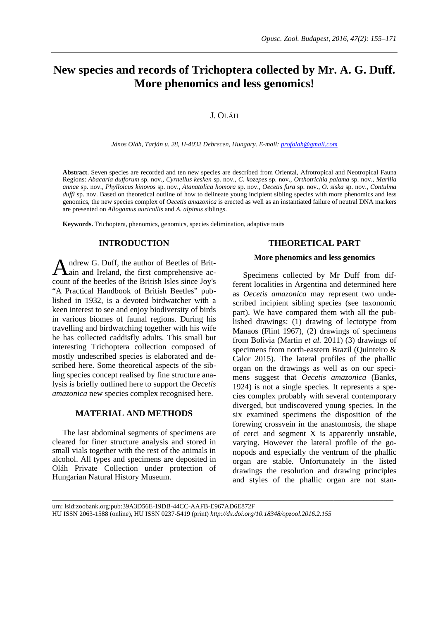# **New species and records of Trichoptera collected by Mr. A. G. Duff. More phenomics and less genomics!**

# J. OLÁH

*János Oláh, Tarján u. 28, H-4032 Debrecen, Hungary. E-mail: profolah@gmail.com*

**Abstract**. Seven species are recorded and ten new species are described from Oriental, Afrotropical and Neotropical Fauna Regions: *Abacaria dufforum* sp. nov., *Cyrnellus kesken* sp. nov., *C. kozepes* sp. nov., *Orthotrichia palama* sp. nov., *Marilia annae* sp. nov., *Phylloicus kinovos* sp. nov., *Atanatolica homora* sp. nov., *Oecetis fura* sp. nov., *O. siska* sp. nov., *Contulma duffi* sp. nov. Based on theoretical outline of how to delineate young incipient sibling species with more phenomics and less genomics, the new species complex of *Oecetis amazonica* is erected as well as an instantiated failure of neutral DNA markers are presented on *Allogamus auricollis* and *A. alpinus* siblings.

**Keywords.** Trichoptera, phenomics, genomics, species delimination, adaptive traits

# **INTRODUCTION**

A ndrew G. Duff, the author of Beetles of Brit-<br>Aain and Ireland, the first comprehensive acain and Ireland, the first comprehensive account of the beetles of the British Isles since Joy's "A Practical Handbook of British Beetles" published in 1932, is a devoted birdwatcher with a keen interest to see and enjoy biodiversity of birds in various biomes of faunal regions. During his travelling and birdwatching together with his wife he has collected caddisfly adults. This small but interesting Trichoptera collection composed of mostly undescribed species is elaborated and described here. Some theoretical aspects of the sibling species concept realised by fine structure analysis is briefly outlined here to support the *Oecetis amazonica* new species complex recognised here.

### **MATERIAL AND METHODS**

The last abdominal segments of specimens are cleared for finer structure analysis and stored in small vials together with the rest of the animals in alcohol. All types and specimens are deposited in Oláh Private Collection under protection of Hungarian Natural History Museum.

### **THEORETICAL PART**

#### **More phenomics and less genomics**

Specimens collected by Mr Duff from different localities in Argentina and determined here as *Oecetis amazonica* may represent two undescribed incipient sibling species (see taxonomic part). We have compared them with all the published drawings: (1) drawing of lectotype from Manaos (Flint 1967), (2) drawings of specimens from Bolivia (Martin *et al.* 2011) (3) drawings of specimens from north-eastern Brazil (Quinteiro & Calor 2015). The lateral profiles of the phallic organ on the drawings as well as on our specimens suggest that *Oecetis amazonica* (Banks, 1924) is not a single species. It represents a species complex probably with several contemporary diverged, but undiscovered young species. In the six examined specimens the disposition of the forewing crossvein in the anastomosis, the shape of cerci and segment X is apparently unstable, varying. However the lateral profile of the gonopods and especially the ventrum of the phallic organ are stable. Unfortunately in the listed drawings the resolution and drawing principles and styles of the phallic organ are not stan-

urn: lsid:zoobank.org:pub:39A3D56E-19DB-44CC-AAFB-E967AD6E872F HU ISSN 2063-1588 (online), HU ISSN 0237-5419 (print) *<http://dx.doi.org/10.18348/opzool.2016.2.155>*

 $\_$  ,  $\_$  ,  $\_$  ,  $\_$  ,  $\_$  ,  $\_$  ,  $\_$  ,  $\_$  ,  $\_$  ,  $\_$  ,  $\_$  ,  $\_$  ,  $\_$  ,  $\_$  ,  $\_$  ,  $\_$  ,  $\_$  ,  $\_$  ,  $\_$  ,  $\_$  ,  $\_$  ,  $\_$  ,  $\_$  ,  $\_$  ,  $\_$  ,  $\_$  ,  $\_$  ,  $\_$  ,  $\_$  ,  $\_$  ,  $\_$  ,  $\_$  ,  $\_$  ,  $\_$  ,  $\_$  ,  $\_$  ,  $\_$  ,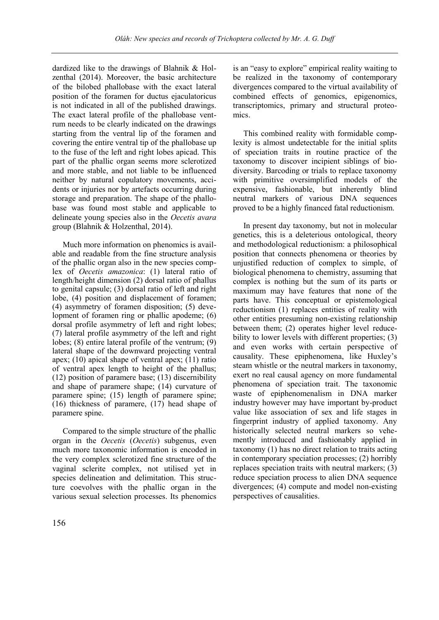dardized like to the drawings of Blahnik & Holzenthal (2014). Moreover, the basic architecture of the bilobed phallobase with the exact lateral position of the foramen for ductus ejaculatoricus is not indicated in all of the published drawings. The exact lateral profile of the phallobase ventrum needs to be clearly indicated on the drawings starting from the ventral lip of the foramen and covering the entire ventral tip of the phallobase up to the fuse of the left and right lobes apicad. This part of the phallic organ seems more sclerotized and more stable, and not liable to be influenced neither by natural copulatory movements, accidents or injuries nor by artefacts occurring during storage and preparation. The shape of the phallobase was found most stable and applicable to delineate young species also in the *Oecetis avara* group (Blahnik & Holzenthal, 2014).

Much more information on phenomics is available and readable from the fine structure analysis of the phallic organ also in the new species complex of *Oecetis amazonica*: (1) lateral ratio of length/height dimension (2) dorsal ratio of phallus to genital capsule; (3) dorsal ratio of left and right lobe, (4) position and displacement of foramen; (4) asymmetry of foramen disposition; (5) development of foramen ring or phallic apodeme; (6) dorsal profile asymmetry of left and right lobes; (7) lateral profile asymmetry of the left and right lobes; (8) entire lateral profile of the ventrum; (9) lateral shape of the downward projecting ventral apex; (10) apical shape of ventral apex; (11) ratio of ventral apex length to height of the phallus; (12) position of paramere base; (13) discernibility and shape of paramere shape; (14) curvature of paramere spine; (15) length of paramere spine; (16) thickness of paramere, (17) head shape of paramere spine.

Compared to the simple structure of the phallic organ in the *Oecetis* (*Oecetis*) subgenus, even much more taxonomic information is encoded in the very complex sclerotized fine structure of the vaginal sclerite complex, not utilised yet in species delineation and delimitation. This structure coevolves with the phallic organ in the various sexual selection processes. Its phenomics is an "easy to explore" empirical reality waiting to be realized in the taxonomy of contemporary divergences compared to the virtual availability of combined effects of genomics, epigenomics, transcriptomics, primary and structural proteomics.

This combined reality with formidable complexity is almost undetectable for the initial splits of speciation traits in routine practice of the taxonomy to discover incipient siblings of biodiversity. Barcoding or trials to replace taxonomy with primitive oversimplified models of the expensive, fashionable, but inherently blind neutral markers of various DNA sequences proved to be a highly financed fatal reductionism.

In present day taxonomy, but not in molecular genetics, this is a deleterious ontological, theory and methodological reductionism: a philosophical position that connects phenomena or theories by unjustified reduction of complex to simple, of biological phenomena to chemistry, assuming that complex is nothing but the sum of its parts or maximum may have features that none of the parts have. This conceptual or epistemological reductionism (1) replaces entities of reality with other entities presuming non-existing relationship between them; (2) operates higher level reducebility to lower levels with different properties; (3) and even works with certain perspective of causality. These epiphenomena, like Huxley's steam whistle or the neutral markers in taxonomy, exert no real causal agency on more fundamental phenomena of speciation trait. The taxonomic waste of epiphenomenalism in DNA marker industry however may have important by-product value like association of sex and life stages in fingerprint industry of applied taxonomy. Any historically selected neutral markers so vehemently introduced and fashionably applied in taxonomy (1) has no direct relation to traits acting in contemporary speciation processes; (2) horribly replaces speciation traits with neutral markers; (3) reduce speciation process to alien DNA sequence divergences; (4) compute and model non-existing perspectives of causalities.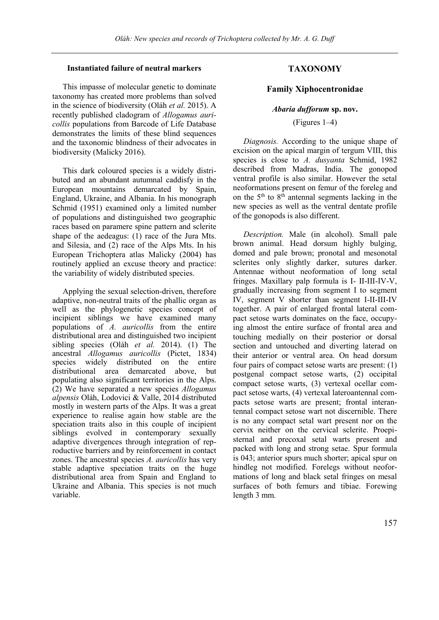# **Instantiated failure of neutral markers**

This impasse of molecular genetic to dominate taxonomy has created more problems than solved in the science of biodiversity (Oláh *et al.* 2015). A recently published cladogram of *Allogamus auricollis* populations from Barcode of Life Database demonstrates the limits of these blind sequences and the taxonomic blindness of their advocates in biodiversity (Malicky 2016).

This dark coloured species is a widely distributed and an abundant autumnal caddisfy in the European mountains demarcated by Spain, England, Ukraine, and Albania. In his monograph Schmid (1951) examined only a limited number of populations and distinguished two geographic races based on paramere spine pattern and sclerite shape of the aedeagus: (1) race of the Jura Mts. and Silesia, and (2) race of the Alps Mts. In his European Trichoptera atlas Malicky (2004) has routinely applied an excuse theory and practice: the variability of widely distributed species.

Applying the sexual selection-driven, therefore adaptive, non-neutral traits of the phallic organ as well as the phylogenetic species concept of incipient siblings we have examined many populations of *A. auricollis* from the entire distributional area and distinguished two incipient sibling species (Oláh *et al.* 2014). (1) The ancestral *Allogamus auricollis* (Pictet, 1834) species widely distributed on the entire distributional area demarcated above, but populating also significant territories in the Alps. (2) We have separated a new species *Allogamus alpensis* Oláh, Lodovici & Valle, 2014 distributed mostly in western parts of the Alps. It was a great experience to realise again how stable are the speciation traits also in this couple of incipient siblings evolved in contemporary sexually adaptive divergences through integration of reproductive barriers and by reinforcement in contact zones. The ancestral species *A. auricollis* has very stable adaptive speciation traits on the huge distributional area from Spain and England to Ukraine and Albania. This species is not much variable.

# **TAXONOMY**

# **Family Xiphocentronidae**

### *Abaria dufforum* **sp. nov.**

# (Figures 1–4)

*Diagnosis.* According to the unique shape of excision on the apical margin of tergum VIII, this species is close to *A. dusyanta* Schmid, 1982 described from Madras, India. The gonopod ventral profile is also similar. However the setal neoformations present on femur of the foreleg and on the  $5<sup>th</sup>$  to  $8<sup>th</sup>$  antennal segments lacking in the new species as well as the ventral dentate profile of the gonopods is also different.

*Description.* Male (in alcohol). Small pale brown animal. Head dorsum highly bulging, domed and pale brown; pronotal and mesonotal sclerites only slightly darker, sutures darker. Antennae without neoformation of long setal fringes. Maxillary palp formula is I- II-III-IV-V, gradually increasing from segment I to segment IV, segment V shorter than segment I-II-III-IV together. A pair of enlarged frontal lateral compact setose warts dominates on the face, occupying almost the entire surface of frontal area and touching medially on their posterior or dorsal section and untouched and diverting laterad on their anterior or ventral area. On head dorsum four pairs of compact setose warts are present: (1) postgenal compact setose warts, (2) occipital compact setose warts, (3) vertexal ocellar compact setose warts, (4) vertexal lateroantennal compacts setose warts are present; frontal interantennal compact setose wart not discernible. There is no any compact setal wart present nor on the cervix neither on the cervical sclerite. Proepisternal and precoxal setal warts present and packed with long and strong setae. Spur formula is 043; anterior spurs much shorter; apical spur on hindleg not modified. Forelegs without neoformations of long and black setal fringes on mesal surfaces of both femurs and tibiae. Forewing length 3 mm.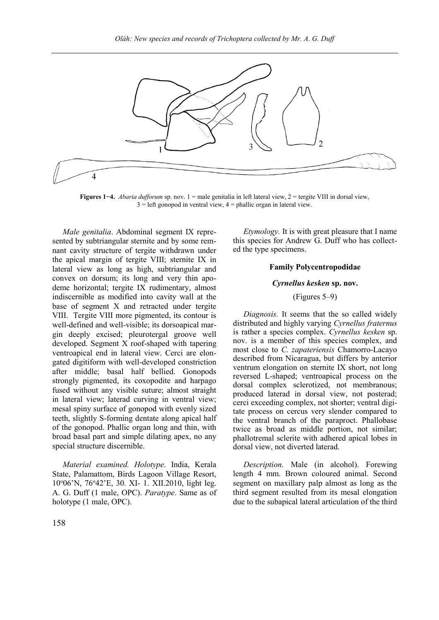

**Figures 1−4.** *Abaria dufforum* sp. nov. 1 = male genitalia in left lateral view, 2 = tergite VIII in dorsal view,  $3 =$  left gonopod in ventral view,  $4 =$  phallic organ in lateral view.

*Male genitalia*. Abdominal segment IX represented by subtriangular sternite and by some remnant cavity structure of tergite withdrawn under the apical margin of tergite VIII; sternite IX in lateral view as long as high, subtriangular and convex on dorsum; its long and very thin apodeme horizontal; tergite IX rudimentary, almost indiscernible as modified into cavity wall at the base of segment X and retracted under tergite VIII. Tergite VIII more pigmented, its contour is well-defined and well-visible; its dorsoapical margin deeply excised; pleurotergal groove well developed. Segment X roof-shaped with tapering ventroapical end in lateral view. Cerci are elongated digitiform with well-developed constriction after middle; basal half bellied. Gonopods strongly pigmented, its coxopodite and harpago fused without any visible suture; almost straight in lateral view; laterad curving in ventral view; mesal spiny surface of gonopod with evenly sized teeth, slightly S-forming dentate along apical half of the gonopod. Phallic organ long and thin, with broad basal part and simple dilating apex, no any special structure discernible.

*Material examined. Holotype*. India, Kerala State, Palamattom, Birds Lagoon Village Resort, 10<sup>o</sup>06'N, 76<sup>o</sup>42'E, 30. XI- 1. XII.2010, light leg. A. G. Duff (1 male, OPC). *Paratype*. Same as of holotype (1 male, OPC).

*Etymology.* It is with great pleasure that I name this species for Andrew G. Duff who has collected the type specimens.

### **Family Polycentropodidae**

#### *Cyrnellus kesken* **sp. nov.**

# (Figures 5–9)

*Diagnosis.* It seems that the so called widely distributed and highly varying *Cyrnellus fraternus* is rather a species complex. *Cyrnellus kesken* sp. nov. is a member of this species complex, and most close to *C. zapateriensis* Chamorro-Lacayo described from Nicaragua, but differs by anterior ventrum elongation on sternite IX short, not long reversed L-shaped; ventroapical process on the dorsal complex sclerotized, not membranous; produced laterad in dorsal view, not posterad; cerci exceeding complex, not shorter; ventral digitate process on cercus very slender compared to the ventral branch of the paraproct. Phallobase twice as broad as middle portion, not similar; phallotremal sclerite with adhered apical lobes in dorsal view, not diverted laterad.

*Description.* Male (in alcohol). Forewing length 4 mm. Brown coloured animal. Second segment on maxillary palp almost as long as the third segment resulted from its mesal elongation due to the subapical lateral articulation of the third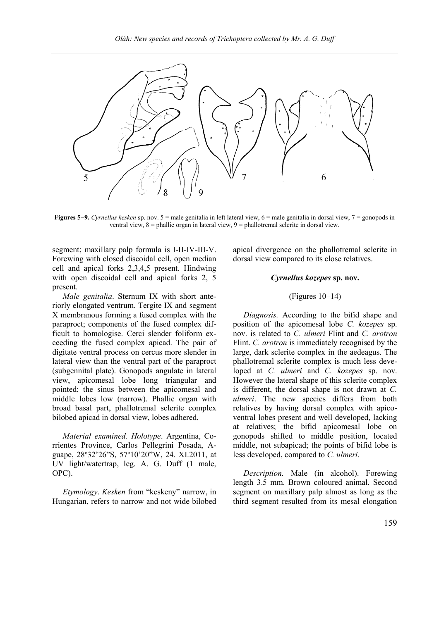

**Figures 5−9.** *Cyrnellus kesken* sp. nov. 5 = male genitalia in left lateral view, 6 = male genitalia in dorsal view, 7 = gonopods in ventral view, 8 = phallic organ in lateral view, 9 = phallotremal sclerite in dorsal view.

segment; maxillary palp formula is I-II-IV-III-V. Forewing with closed discoidal cell, open median cell and apical forks 2,3,4,5 present. Hindwing with open discoidal cell and apical forks 2, 5 present.

*Male genitalia*. Sternum IX with short anteriorly elongated ventrum. Tergite IX and segment X membranous forming a fused complex with the paraproct; components of the fused complex difficult to homologise. Cerci slender foliform exceeding the fused complex apicad. The pair of digitate ventral process on cercus more slender in lateral view than the ventral part of the paraproct (subgennital plate). Gonopods angulate in lateral view, apicomesal lobe long triangular and pointed; the sinus between the apicomesal and middle lobes low (narrow). Phallic organ with broad basal part, phallotremal sclerite complex bilobed apicad in dorsal view, lobes adhered.

*Material examined. Holotype*. Argentina, Corrientes Province, Carlos Pellegrini Posada, Aguape, 28°32'26"S, 57°10'20"W, 24. XI.2011, at UV light/watertrap, leg. A. G. Duff (1 male, OPC).

*Etymology*. *Kesken* from "keskeny" narrow, in Hungarian, refers to narrow and not wide bilobed apical divergence on the phallotremal sclerite in dorsal view compared to its close relatives.

### *Cyrnellus kozepes* **sp. nov.**

# (Figures 10–14)

*Diagnosis.* According to the bifid shape and position of the apicomesal lobe *C. kozepes* sp. nov. is related to *C. ulmeri* Flint and *C. arotron* Flint. *C. arotron* is immediately recognised by the large, dark sclerite complex in the aedeagus. The phallotremal sclerite complex is much less developed at *C. ulmeri* and *C. kozepes* sp. nov. However the lateral shape of this sclerite complex is different, the dorsal shape is not drawn at *C. ulmeri*. The new species differs from both relatives by having dorsal complex with apicoventral lobes present and well developed, lacking at relatives; the bifid apicomesal lobe on gonopods shifted to middle position, located middle, not subapicad; the points of bifid lobe is less developed, compared to *C. ulmeri*.

*Description.* Male (in alcohol). Forewing length 3.5 mm. Brown coloured animal. Second segment on maxillary palp almost as long as the third segment resulted from its mesal elongation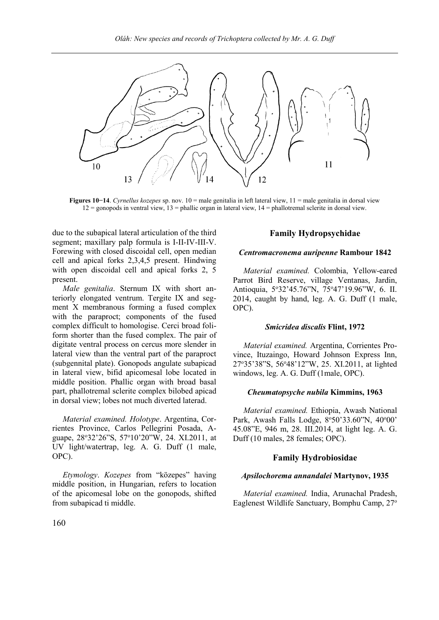

**Figures 10−14**. *Cyrnellus kozepes* sp. nov. 10 = male genitalia in left lateral view, 11 = male genitalia in dorsal view  $12 =$  gonopods in ventral view,  $13 =$  phallic organ in lateral view,  $14 =$  phallotremal sclerite in dorsal view.

due to the subapical lateral articulation of the third segment; maxillary palp formula is I-II-IV-III-V. Forewing with closed discoidal cell, open median cell and apical forks 2,3,4,5 present. Hindwing with open discoidal cell and apical forks 2, 5 present.

*Male genitalia*. Sternum IX with short anteriorly elongated ventrum. Tergite IX and segment X membranous forming a fused complex with the paraproct; components of the fused complex difficult to homologise. Cerci broad foliform shorter than the fused complex. The pair of digitate ventral process on cercus more slender in lateral view than the ventral part of the paraproct (subgennital plate). Gonopods angulate subapicad in lateral view, bifid apicomesal lobe located in middle position. Phallic organ with broad basal part, phallotremal sclerite complex bilobed apicad in dorsal view; lobes not much diverted laterad.

*Material examined. Holotype*. Argentina, Corrientes Province, Carlos Pellegrini Posada, Aguape, 28°32'26"S, 57°10'20"W, 24. XI.2011, at UV light/watertrap, leg. A. G. Duff (1 male, OPC).

*Etymology*. *Kozepes* from "közepes" having middle position, in Hungarian, refers to location of the apicomesal lobe on the gonopods, shifted from subapicad ti middle.

# **Family Hydropsychidae**

#### *Centromacronema auripenne* **Rambour 1842**

*Material examined.* Colombia, Yellow-eared Parrot Bird Reserve, village Ventanas, Jardin, Antioquia, 5°32'45.76"N, 75°47'19.96"W, 6. II. 2014, caught by hand, leg. A. G. Duff (1 male, OPC).

# *Smicridea discalis* **Flint, 1972**

*Material examined.* Argentina, Corrientes Province, Ituzaingo, Howard Johnson Express Inn, 27<sup>o</sup>35'38"S, 56<sup>o</sup>48'12"W, 25. XI.2011, at lighted windows, leg. A. G. Duff (1male, OPC).

### *Cheumatopsyche nubila* **Kimmins, 1963**

*Material examined.* Ethiopia, Awash National Park, Awash Falls Lodge, 8°50'33.60"N, 40°00' 45.08"E, 946 m, 28. III.2014, at light leg. A. G. Duff (10 males, 28 females; OPC).

# **Family Hydrobiosidae**

# *Apsilochorema annandalei* **Martynov, 1935**

*Material examined.* India, Arunachal Pradesh, Eaglenest Wildlife Sanctuary, Bomphu Camp, 27o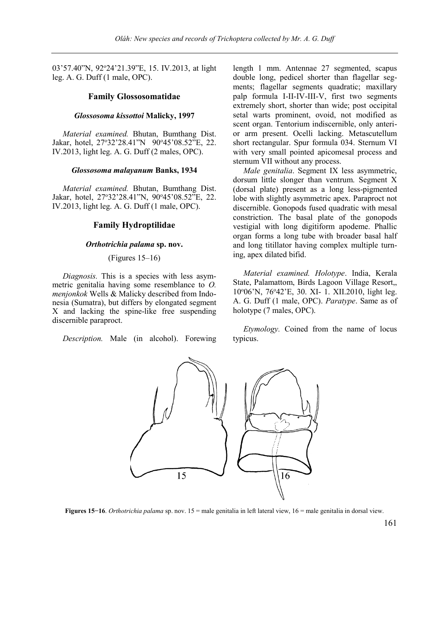03'57.40"N, 92°24'21.39"E, 15. IV.2013, at light leg. A. G. Duff (1 male, OPC).

#### **Family Glossosomatidae**

#### *Glossosoma kissottoi* **Malicky, 1997**

*Material examined.* Bhutan, Bumthang Dist. Jakar, hotel, 27°32'28.41"N 90°45'08.52"E, 22. IV.2013, light leg. A. G. Duff (2 males, OPC).

#### *Glossosoma malayanum* **Banks, 1934**

*Material examined.* Bhutan, Bumthang Dist. Jakar, hotel, 27°32'28.41"N, 90°45'08.52"E, 22. IV.2013, light leg. A. G. Duff (1 male, OPC).

#### **Family Hydroptilidae**

# *Orthotrichia palama* **sp. nov.**

# (Figures 15–16)

*Diagnosis.* This is a species with less asymmetric genitalia having some resemblance to *O. menjonkok* Wells & Malicky described from Indonesia (Sumatra), but differs by elongated segment X and lacking the spine-like free suspending discernible paraproct.

*Description.* Male (in alcohol). Forewing

length 1 mm. Antennae 27 segmented, scapus double long, pedicel shorter than flagellar segments; flagellar segments quadratic; maxillary palp formula I-II-IV-III-V, first two segments extremely short, shorter than wide; post occipital setal warts prominent, ovoid, not modified as scent organ. Tentorium indiscernible, only anterior arm present. Ocelli lacking. Metascutellum short rectangular. Spur formula 034. Sternum VI with very small pointed apicomesal process and sternum VII without any process.

*Male genitalia*. Segment IX less asymmetric, dorsum little slonger than ventrum. Segment X (dorsal plate) present as a long less-pigmented lobe with slightly asymmetric apex. Paraproct not discernible. Gonopods fused quadratic with mesal constriction. The basal plate of the gonopods vestigial with long digitiform apodeme. Phallic organ forms a long tube with broader basal half and long titillator having complex multiple turning, apex dilated bifid.

*Material examined. Holotype*. India, Kerala State, Palamattom, Birds Lagoon Village Resort,, 10°06'N, 76°42'E, 30. XI- 1. XII.2010, light leg. A. G. Duff (1 male, OPC). *Paratype*. Same as of holotype (7 males, OPC).

*Etymology.* Coined from the name of locus typicus.



**Figures 15−16**. *Orthotrichia palama* sp. nov. 15 = male genitalia in left lateral view, 16 = male genitalia in dorsal view.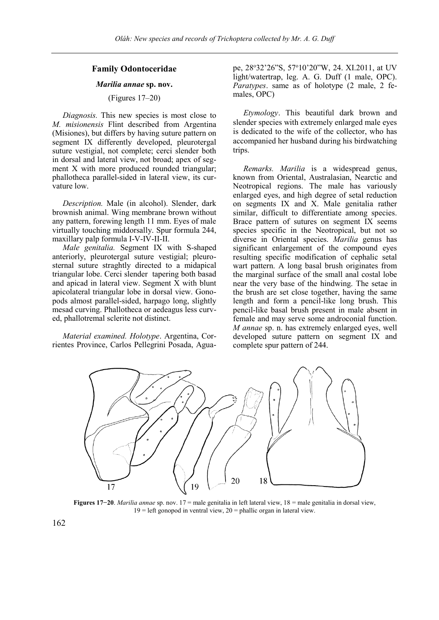# **Family Odontoceridae**

# *Marilia annae* **sp. nov.**

# (Figures 17–20)

*Diagnosis.* This new species is most close to *M. misionensis* Flint described from Argentina (Misiones), but differs by having suture pattern on segment IX differently developed, pleurotergal suture vestigial, not complete; cerci slender both in dorsal and lateral view, not broad; apex of segment X with more produced rounded triangular; phallotheca parallel-sided in lateral view, its curvature low.

*Description.* Male (in alcohol). Slender, dark brownish animal. Wing membrane brown without any pattern, forewing length 11 mm. Eyes of male virtually touching middorsally. Spur formula 244, maxillary palp formula I-V-IV-II-II.

*Male genitalia.* Segment IX with S-shaped anteriorly, pleurotergal suture vestigial; pleurosternal suture straghtly directed to a midapical triangular lobe. Cerci slender tapering both basad and apicad in lateral view. Segment X with blunt apicolateral triangular lobe in dorsal view. Gonopods almost parallel-sided, harpago long, slightly mesad curving. Phallotheca or aedeagus less curved, phallotremal sclerite not distinct.

*Material examined. Holotype*. Argentina, Corrientes Province, Carlos Pellegrini Posada, Aguape, 28°32'26"S, 57°10'20"W, 24. XI.2011, at UV light/watertrap, leg. A. G. Duff (1 male, OPC). *Paratypes*. same as of holotype (2 male, 2 females, OPC)

*Etymology*. This beautiful dark brown and slender species with extremely enlarged male eyes is dedicated to the wife of the collector, who has accompanied her husband during his birdwatching trips.

*Remarks. Marilia* is a widespread genus, known from Oriental, Australasian, Nearctic and Neotropical regions. The male has variously enlarged eyes, and high degree of setal reduction on segments IX and X. Male genitalia rather similar, difficult to differentiate among species. Brace pattern of sutures on segment IX seems species specific in the Neotropical, but not so diverse in Oriental species. *Marilia* genus has significant enlargement of the compound eyes resulting specific modification of cephalic setal wart pattern. A long basal brush originates from the marginal surface of the small anal costal lobe near the very base of the hindwing. The setae in the brush are set close together, having the same length and form a pencil-like long brush. This pencil-like basal brush present in male absent in female and may serve some androconial function. *M annae* sp. n. has extremely enlarged eyes, well developed suture pattern on segment IX and complete spur pattern of 244.



**Figures 17−20**. *Marilia annae* sp. nov. 17 = male genitalia in left lateral view, 18 = male genitalia in dorsal view,  $19 =$  left gonopod in ventral view,  $20 =$  phallic organ in lateral view.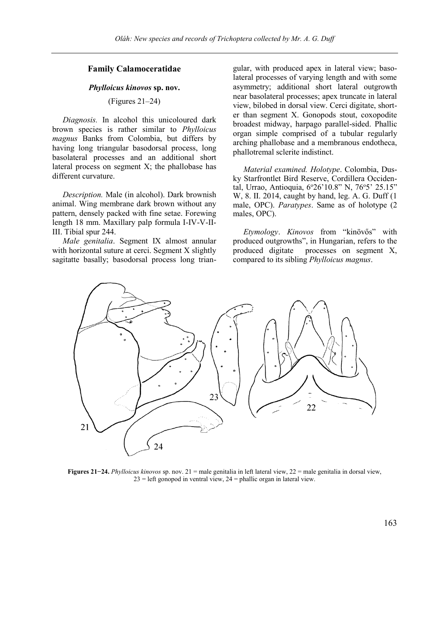# **Family Calamoceratidae**

### *Phylloicus kinovos* **sp. nov.**

(Figures 21–24)

*Diagnosis.* In alcohol this unicoloured dark brown species is rather similar to *Phylloicus magnus* Banks from Colombia, but differs by having long triangular basodorsal process, long basolateral processes and an additional short lateral process on segment X; the phallobase has different curvature.

*Description.* Male (in alcohol). Dark brownish animal. Wing membrane dark brown without any pattern, densely packed with fine setae. Forewing length 18 mm. Maxillary palp formula I-IV-V-II-III. Tibial spur 244.

*Male genitalia*. Segment IX almost annular with horizontal suture at cerci. Segment X slightly sagitatte basally; basodorsal process long triangular, with produced apex in lateral view; basolateral processes of varying length and with some asymmetry; additional short lateral outgrowth near basolateral processes; apex truncate in lateral view, bilobed in dorsal view. Cerci digitate, shorter than segment X. Gonopods stout, coxopodite broadest midway, harpago parallel-sided. Phallic organ simple comprised of a tubular regularly arching phallobase and a membranous endotheca, phallotremal sclerite indistinct.

*Material examined. Holotype*. Colombia, Dusky Starfrontlet Bird Reserve, Cordillera Occidental, Urrao, Antioquia, 6°26'10.8" N, 76°5' 25.15" W, 8. II. 2014, caught by hand, leg. A. G. Duff (1 male, OPC). *Paratypes*. Same as of holotype (2 males, OPC).

*Etymology*. *Kinovos* from "kinövős" with produced outgrowths", in Hungarian, refers to the produced digitate processes on segment X, compared to its sibling *Phylloicus magnus*.



**Figures 21−24.** *Phylloicus kinovos* sp. nov. 21 = male genitalia in left lateral view, 22 = male genitalia in dorsal view,  $23 =$  left gonopod in ventral view,  $24 =$  phallic organ in lateral view.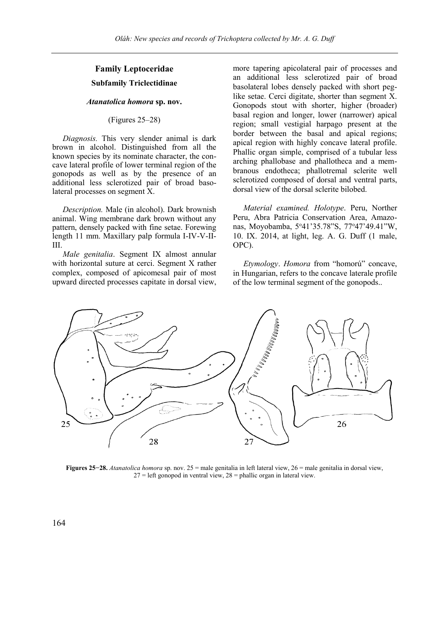# **Family Leptoceridae Subfamily Triclectidinae**

# *Atanatolica homora* **sp. nov.**

### (Figures 25–28)

*Diagnosis.* This very slender animal is dark brown in alcohol. Distinguished from all the known species by its nominate character, the concave lateral profile of lower terminal region of the gonopods as well as by the presence of an additional less sclerotized pair of broad basolateral processes on segment X.

*Description.* Male (in alcohol). Dark brownish animal. Wing membrane dark brown without any pattern, densely packed with fine setae. Forewing length 11 mm. Maxillary palp formula I-IV-V-II-III.

*Male genitalia*. Segment IX almost annular with horizontal suture at cerci. Segment X rather complex, composed of apicomesal pair of most upward directed processes capitate in dorsal view,

more tapering apicolateral pair of processes and an additional less sclerotized pair of broad basolateral lobes densely packed with short peglike setae. Cerci digitate, shorter than segment X. Gonopods stout with shorter, higher (broader) basal region and longer, lower (narrower) apical region; small vestigial harpago present at the border between the basal and apical regions; apical region with highly concave lateral profile. Phallic organ simple, comprised of a tubular less arching phallobase and phallotheca and a membranous endotheca; phallotremal sclerite well sclerotized composed of dorsal and ventral parts, dorsal view of the dorsal sclerite bilobed.

*Material examined. Holotype*. Peru, Norther Peru, Abra Patricia Conservation Area, Amazonas, Moyobamba, 5°41'35.78"S, 77°47'49.41"W, 10. IX. 2014, at light, leg. A. G. Duff (1 male, OPC).

*Etymology*. *Homora* from "homorú" concave, in Hungarian, refers to the concave laterale profile of the low terminal segment of the gonopods..



**Figures 25−28.** *Atanatolica homora* sp. nov. 25 = male genitalia in left lateral view, 26 = male genitalia in dorsal view,  $27 =$  left gonopod in ventral view,  $28 =$  phallic organ in lateral view.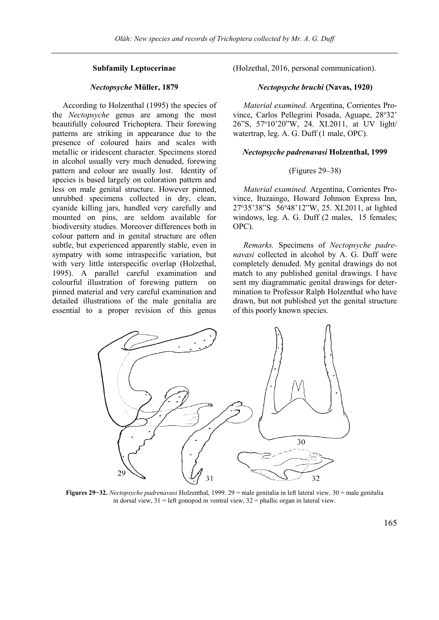# **Subfamily Leptocerinae**

# *Nectopsyche* **Müller, 1879**

According to Holzenthal (1995) the species of the *Nectopsyche* genus are among the most beautifully coloured Trichoptera. Their forewing patterns are striking in appearance due to the presence of coloured hairs and scales with metallic or iridescent character. Specimens stored in alcohol usually very much denuded, forewing pattern and colour are usually lost. Identity of species is based largely on coloration pattern and less on male genital structure. However pinned, unrubbed specimens collected in dry, clean, cyanide killing jars, handled very carefully and mounted on pins, are seldom available for biodiversity studies. Moreover differences both in colour pattern and in genital structure are often subtle, but experienced apparently stable, even in sympatry with some intraspecific variation, but with very little interspecific overlap (Holzethal, 1995). A parallel careful examination and colourful illustration of forewing pattern on pinned material and very careful examination and detailed illustrations of the male genitalia are essential to a proper revision of this genus

(Holzethal, 2016, personal communication).

# *Nectopsyche bruchi* **(Navas, 1920)**

*Material examined.* Argentina, Corrientes Province, Carlos Pellegrini Posada, Aguape, 28°32' 26"S, 57<sup>o</sup>10'20"W, 24. XI.2011, at UV light/ watertrap, leg. A. G. Duff (1 male, OPC).

#### *Nectopsyche padrenavasi* **Holzenthal, 1999**

### (Figures 29–38)

*Material examined.* Argentina, Corrientes Province, Ituzaingo, Howard Johnson Express Inn, 27<sup>o</sup>35'38"S 56<sup>o</sup>48'12"W, 25. XI.2011, at lighted windows, leg. A. G. Duff (2 males, 15 females; OPC).

*Remarks.* Specimens of *Nectopsyche padrenavasi* collected in alcohol by A. G. Duff were completely denuded. My genital drawings do not match to any published genital drawings. I have sent my diagrammatic genital drawings for determination to Professor Ralph Holzenthal who have drawn, but not published yet the genital structure of this poorly known species.



**Figures 29−32.** *Nectopsyche padrenavasi* Holzenthal, 1999. 29 = male genitalia in left lateral view, 30 = male genitalia in dorsal view,  $31$  = left gonopod in ventral view,  $32$  = phallic organ in lateral view.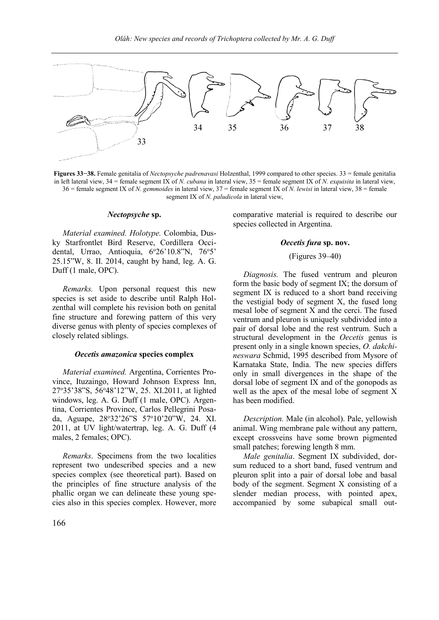

**Figures 33−38.** Female genitalia of *Nectopsyche padrenavasi* Holzenthal, 1999 compared to other species. 33 = female genitalia in left lateral view, 34 = female segment IX of *N. cubana* in lateral view, 35 = female segment IX of *N. exquisita* in lateral view, 36 = female segment IX of *N. gemmoides* in lateral view, 37 = female segment IX of *N. lewisi* in lateral view, 38 = female segment IX of *N. paludicola* in lateral view,

# *Nectopsyche* **sp.**

*Material examined. Holotype.* Colombia, Dusky Starfrontlet Bird Reserve, Cordillera Occidental, Urrao, Antioquia, 6°26'10.8"N, 76°5' 25.15"W, 8. II. 2014, caught by hand, leg. A. G. Duff (1 male, OPC).

*Remarks.* Upon personal request this new species is set aside to describe until Ralph Holzenthal will complete his revision both on genital fine structure and forewing pattern of this very diverse genus with plenty of species complexes of closely related siblings.

### *Oecetis amazonica* **species complex**

*Material examined.* Argentina, Corrientes Province, Ituzaingo, Howard Johnson Express Inn, 27<sup>o</sup>35'38"S, 56<sup>o</sup>48'12"W, 25. XI.2011, at lighted windows, leg. A. G. Duff (1 male, OPC). Argentina, Corrientes Province, Carlos Pellegrini Posada, Aguape, 28<sup>o</sup>32'26"S 57<sup>o</sup>10'20"W, 24. XI. 2011, at UV light/watertrap, leg. A. G. Duff (4 males, 2 females; OPC).

*Remarks*. Specimens from the two localities represent two undescribed species and a new species complex (see theoretical part). Based on the principles of fine structure analysis of the phallic organ we can delineate these young species also in this species complex. However, more

comparative material is required to describe our species collected in Argentina.

### *Oecetis fura* **sp. nov.**

# (Figures 39–40)

*Diagnosis.* The fused ventrum and pleuron form the basic body of segment IX; the dorsum of segment IX is reduced to a short band receiving the vestigial body of segment X, the fused long mesal lobe of segment X and the cerci. The fused ventrum and pleuron is uniquely subdivided into a pair of dorsal lobe and the rest ventrum. Such a structural development in the *Oecetis* genus is present only in a single known species, *O. dakchineswara* Schmid, 1995 described from Mysore of Karnataka State, India. The new species differs only in small divergences in the shape of the dorsal lobe of segment IX and of the gonopods as well as the apex of the mesal lobe of segment X has been modified.

*Description.* Male (in alcohol). Pale, yellowish animal. Wing membrane pale without any pattern, except crossveins have some brown pigmented small patches; forewing length 8 mm.

*Male genitalia*. Segment IX subdivided, dorsum reduced to a short band, fused ventrum and pleuron split into a pair of dorsal lobe and basal body of the segment. Segment X consisting of a slender median process, with pointed apex, accompanied by some subapical small out-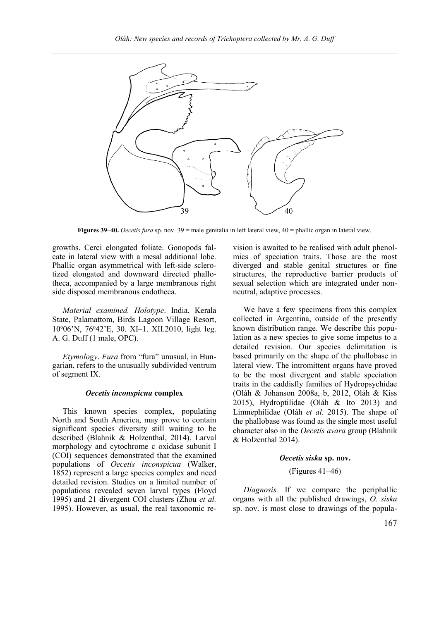

**Figures 39–40.** *Oecetis fura* sp. nov. 39 = male genitalia in left lateral view, 40 = phallic organ in lateral view.

growths. Cerci elongated foliate. Gonopods falcate in lateral view with a mesal additional lobe. Phallic organ asymmetrical with left-side sclerotized elongated and downward directed phallotheca, accompanied by a large membranous right side disposed membranous endotheca.

*Material examined. Holotype*. India, Kerala State, Palamattom, Birds Lagoon Village Resort, 10<sup>o</sup>06'N, 76<sup>o</sup>42'E, 30. XI–1. XII.2010, light leg. A. G. Duff (1 male, OPC).

*Etymology*. *Fura* from "fura" unusual, in Hungarian, refers to the unusually subdivided ventrum of segment IX.

#### *Oecetis inconspicua* **complex**

This known species complex, populating North and South America, may prove to contain significant species diversity still waiting to be described (Blahnik & Holzenthal, 2014). Larval morphology and cytochrome c oxidase subunit I (COI) sequences demonstrated that the examined populations of *Oecetis inconspicua* (Walker, 1852) represent a large species complex and need detailed revision. Studies on a limited number of populations revealed seven larval types (Floyd 1995) and 21 divergent COI clusters (Zhou *et al.* 1995). However, as usual, the real taxonomic revision is awaited to be realised with adult phenolmics of speciation traits. Those are the most diverged and stable genital structures or fine structures, the reproductive barrier products of sexual selection which are integrated under nonneutral, adaptive processes.

We have a few specimens from this complex collected in Argentina, outside of the presently known distribution range. We describe this population as a new species to give some impetus to a detailed revision. Our species delimitation is based primarily on the shape of the phallobase in lateral view. The intromittent organs have proved to be the most divergent and stable speciation traits in the caddisfly families of Hydropsychidae (Oláh & Johanson 2008a, b, 2012, Oláh & Kiss 2015), Hydroptilidae (Oláh & Ito 2013) and Limnephilidae (Oláh *et al.* 2015). The shape of the phallobase was found as the single most useful character also in the *Oecetis avara* group (Blahnik & Holzenthal 2014).

#### *Oecetis siska* **sp. nov.**

# (Figures 41–46)

*Diagnosis.* If we compare the periphallic organs with all the published drawings, *O. siska* sp. nov. is most close to drawings of the popula-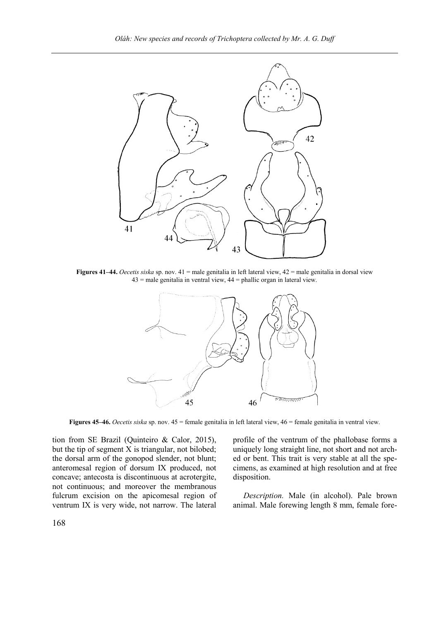

**Figures 41–44.** *Oecetis siska* sp. nov. 41 = male genitalia in left lateral view, 42 = male genitalia in dorsal view  $43$  = male genitalia in ventral view,  $44$  = phallic organ in lateral view.



**Figures 45–46.** *Oecetis siska* sp. nov. 45 = female genitalia in left lateral view, 46 = female genitalia in ventral view.

tion from SE Brazil (Quinteiro & Calor, 2015), but the tip of segment X is triangular, not bilobed; the dorsal arm of the gonopod slender, not blunt; anteromesal region of dorsum IX produced, not concave; antecosta is discontinuous at acrotergite, not continuous; and moreover the membranous fulcrum excision on the apicomesal region of ventrum IX is very wide, not narrow. The lateral

profile of the ventrum of the phallobase forms a uniquely long straight line, not short and not arched or bent. This trait is very stable at all the specimens, as examined at high resolution and at free disposition.

*Description.* Male (in alcohol). Pale brown animal. Male forewing length 8 mm, female fore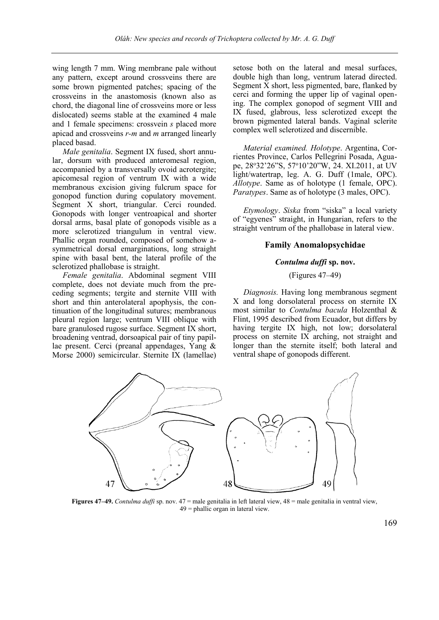wing length 7 mm. Wing membrane pale without any pattern, except around crossveins there are some brown pigmented patches; spacing of the crossveins in the anastomosis (known also as chord, the diagonal line of crossveins more or less dislocated) seems stable at the examined 4 male and 1 female specimens: crossvein *s* placed more apicad and crossveins *r-m* and *m* arranged linearly placed basad.

*Male genitalia*. Segment IX fused, short annular, dorsum with produced anteromesal region, accompanied by a transversally ovoid acrotergite; apicomesal region of ventrum IX with a wide membranous excision giving fulcrum space for gonopod function during copulatory movement. Segment X short, triangular. Cerci rounded. Gonopods with longer ventroapical and shorter dorsal arms, basal plate of gonopods visible as a more sclerotized triangulum in ventral view. Phallic organ rounded, composed of somehow asymmetrical dorsal emarginations, long straight spine with basal bent, the lateral profile of the sclerotized phallobase is straight.

*Female genitalia*. Abdominal segment VIII complete, does not deviate much from the preceding segments; tergite and sternite VIII with short and thin anterolateral apophysis, the continuation of the longitudinal sutures; membranous pleural region large; ventrum VIII oblique with bare granulosed rugose surface. Segment IX short, broadening ventrad, dorsoapical pair of tiny papillae present. Cerci (preanal appendages, Yang & Morse 2000) semicircular. Sternite IX (lamellae) setose both on the lateral and mesal surfaces, double high than long, ventrum laterad directed. Segment  $\bar{X}$  short, less pigmented, bare, flanked by cerci and forming the upper lip of vaginal opening. The complex gonopod of segment VIII and IX fused, glabrous, less sclerotized except the brown pigmented lateral bands. Vaginal sclerite complex well sclerotized and discernible.

*Material examined. Holotype*. Argentina, Corrientes Province, Carlos Pellegrini Posada, Aguape, 28°32'26"S, 57°10'20"W, 24. XI.2011, at UV light/watertrap, leg. A. G. Duff (1male, OPC). *Allotype*. Same as of holotype (1 female, OPC). *Paratypes*. Same as of holotype (3 males, OPC).

*Etymology*. *Siska* from "siska" a local variety of "egyenes" straight, in Hungarian, refers to the straight ventrum of the phallobase in lateral view.

# **Family Anomalopsychidae**

# *Contulma duffi* **sp. nov.**

# (Figures 47–49)

*Diagnosis.* Having long membranous segment X and long dorsolateral process on sternite IX most similar to *Contulma bacula* Holzenthal & Flint, 1995 described from Ecuador, but differs by having tergite IX high, not low; dorsolateral process on sternite IX arching, not straight and longer than the sternite itself; both lateral and ventral shape of gonopods different.



**Figures 47–49.** *Contulma duffi* sp. nov. 47 = male genitalia in left lateral view, 48 = male genitalia in ventral view, 49 = phallic organ in lateral view.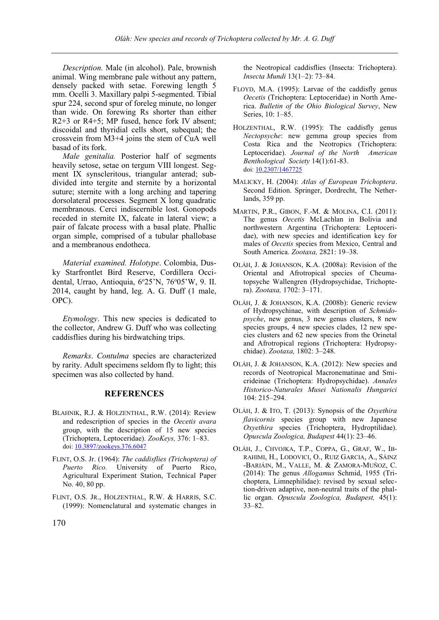*Description.* Male (in alcohol). Pale, brownish animal. Wing membrane pale without any pattern, densely packed with setae. Forewing length 5 mm. Ocelli 3. Maxillary palpi 5-segmented. Tibial spur 224, second spur of foreleg minute, no longer than wide. On forewing Rs shorter than either R2+3 or R4+5; MP fused, hence fork IV absent; discoidal and thyridial cells short, subequal; the crossvein from M3+4 joins the stem of CuA well basad of its fork.

*Male genitalia.* Posterior half of segments heavily setose, setae on tergum VIII longest. Segment IX synscleritous, triangular anterad; subdivided into tergite and sternite by a horizontal suture; sternite with a long arching and tapering dorsolateral processes. Segment X long quadratic membranous. Cerci indiscernible lost. Gonopods receded in sternite IX, falcate in lateral view; a pair of falcate process with a basal plate. Phallic organ simple, comprised of a tubular phallobase and a membranous endotheca.

*Material examined. Holotype*. Colombia, Dusky Starfrontlet Bird Reserve, Cordillera Occidental, Urrao, Antioquia, 6°25'N, 76°05'W, 9. II. 2014, caught by hand, leg. A. G. Duff (1 male, OPC).

*Etymology*. This new species is dedicated to the collector, Andrew G. Duff who was collecting caddisflies during his birdwatching trips.

*Remarks*. *Contulma* species are characterized by rarity. Adult specimens seldom fly to light; this specimen was also collected by hand.

# **REFERENCES**

- BLAHNIK, R.J. & HOLZENTHAL, R.W. (2014): Review and redescription of species in the *Oecetis avara* group, with the description of 15 new species (Trichoptera, Leptoceridae). *ZooKeys,* 376: 1–83. [doi: 10.3897/zookeys.376.6047](http://dx.doi.org/10.3897/zookeys.376.6047)
- FLINT, O.S. Jr. (1964): *The caddisflies (Trichoptera) of Puerto Rico.* University of Puerto Rico, Agricultural Experiment Station, Technical Paper No. 40, 80 pp.
- FLINT, O.S. JR., HOLZENTHAL, R.W. & HARRIS, S.C. (1999): Nomenclatural and systematic changes in

the Neotropical caddisflies (Insecta: Trichoptera). *Insecta Mundi* 13(1–2): 73–84.

- FLOYD, M.A. (1995): Larvae of the caddisfly genus *Oecetis* (Trichoptera: Leptoceridae) in North America. *Bulletin of the Ohio Biological Survey*, New Series, 10: 1–85.
- HOLZENTHAL, R.W. (1995): The caddisfly genus *Nectopsyche*: new gemma group species from Costa Rica and the Neotropics (Trichoptera: Leptoceridae). *Journal of the North American Benthological Society* 14(1):61-83. doi[: 10.2307/1467725](http://dx.doi.org/10.2307/1467725)
- MALICKY, H. (2004): *Atlas of European Trichoptera*. Second Edition. Springer, Dordrecht, The Netherlands, 359 pp.
- MARTIN, P.R., GIBON, F.-M. & MOLINA, C.I. (2011): The genus *Oecetis* McLachlan in Bolivia and northwestern Argentina (Trichoptera: Leptoceridae), with new species and identification key for males of *Oecetis* species from Mexico, Central and South America. *Zootaxa,* 2821: 19–38.
- OLÁH, J. & JOHANSON, K.A. (2008a): Revision of the Oriental and Afrotropical species of Cheumatopsyche Wallengren (Hydropsychidae, Trichoptera). *Zootaxa,* 1702: 3–171.
- OLÁH, J. & JOHANSON, K.A. (2008b): Generic review of Hydropsychinae, with description of *Schmidopsyche*, new genus, 3 new genus clusters, 8 new species groups, 4 new species clades, 12 new species clusters and 62 new species from the Orinetal and Afrotropical regions (Trichoptera: Hydropsychidae). *Zootaxa,* 1802: 3–248.
- OLÁH, J. & JOHANSON, K.A. (2012): New species and records of Neotropical Macronematinae and Smicrideinae (Trichoptera: Hydropsychidae). *Annales Historico-Naturales Musei Nationalis Hungarici*  104: 215–294.
- OLÁH, J. & ITO, T. (2013): Synopsis of the *Oxyethira flavicornis* species group with new Japanese *Oxyethira* species (Trichoptera, Hydroptilidae). *Opuscula Zoologica, Budapest* 44(1): 23–46.
- OLÁH, J., CHVOJKA, T.P., COPPA, G., GRAF, W., IB-RAHIMI, H., LODOVICI, O., RUIZ GARCIA, A., SÁINZ -BARIÁIN, M., VALLE, M. & ZAMORA-MUÑOZ, C. (2014): The genus *Allogamus* Schmid, 1955 (Trichoptera, Limnephilidae): revised by sexual selection-driven adaptive, non-neutral traits of the phallic organ. *Opuscula Zoologica, Budapest,* 45(1): 33–82.